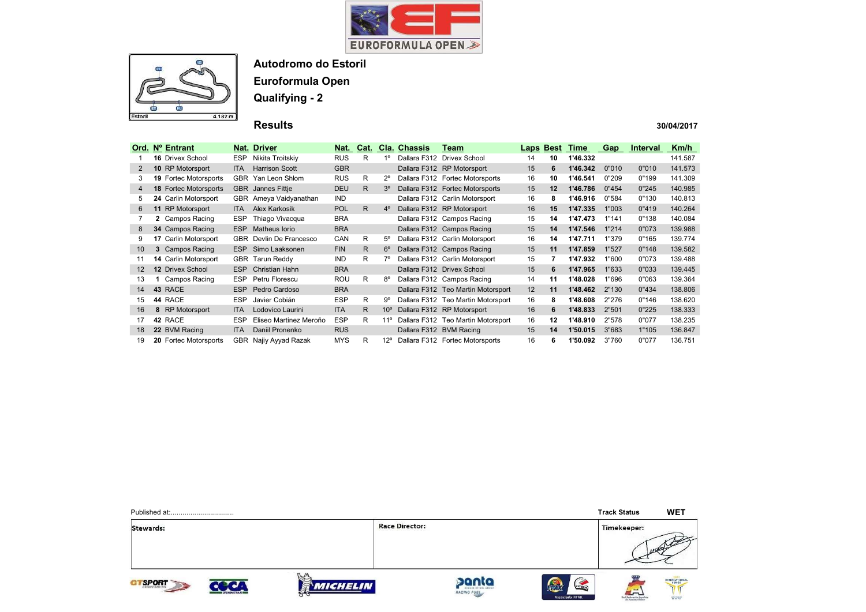



Autodromo do Estoril

Euroformula Open

Qualifying - 2

Results

|                | Ord. Nº Entrant              |            | Nat. Driver             | Nat.       | Cat. |                 | Cla. Chassis | Team                               | Laps              | <b>Best</b> | Time     | Gap   | <b>Interval</b> | Km/h    |
|----------------|------------------------------|------------|-------------------------|------------|------|-----------------|--------------|------------------------------------|-------------------|-------------|----------|-------|-----------------|---------|
|                | <b>16 Drivex School</b>      | <b>ESP</b> | Nikita Troitskiy        | <b>RUS</b> | R    | $1^{\circ}$     |              | Dallara F312 Drivex School         | 14                | 10          | 1'46.332 |       |                 | 141.587 |
| 2              | 10 RP Motorsport             | <b>ITA</b> | <b>Harrison Scott</b>   | <b>GBR</b> |      |                 |              | Dallara F312 RP Motorsport         | 15                | 6           | 1'46.342 | 0"010 | 0"010           | 141.573 |
| 3              | <b>19 Fortec Motorsports</b> | <b>GBR</b> | Yan Leon Shlom          | <b>RUS</b> | R    | $2^{\circ}$     |              | Dallara F312 Fortec Motorsports    | 16                | 10          | 1'46.541 | 0"209 | 0"199           | 141.309 |
| $\overline{4}$ | 18 Fortec Motorsports        | <b>GBR</b> | Jannes Fittje           | <b>DEU</b> | R.   | 3°              |              | Dallara F312 Fortec Motorsports    | 15                | 12          | 1'46.786 | 0"454 | 0"245           | 140.985 |
| 5              | 24 Carlin Motorsport         |            | GBR Ameya Vaidyanathan  | <b>IND</b> |      |                 |              | Dallara F312 Carlin Motorsport     | 16                | 8           | 1'46.916 | 0"584 | 0"130           | 140.813 |
| 6              | 11 RP Motorsport             | ITA.       | Alex Karkosik           | <b>POL</b> | R.   | $4^{\circ}$     |              | Dallara F312 RP Motorsport         | 16                | 15          | 1'47.335 | 1"003 | 0"419           | 140.264 |
|                | 2 Campos Racing              | <b>ESP</b> | Thiago Vivacqua         | <b>BRA</b> |      |                 |              | Dallara F312 Campos Racing         | 15                | 14          | 1'47.473 | 1"141 | 0"138           | 140.084 |
| 8              | 34 Campos Racing             | <b>ESP</b> | Matheus Iorio           | <b>BRA</b> |      |                 |              | Dallara F312 Campos Racing         | 15                | 14          | 1'47.546 | 1"214 | 0"073           | 139.988 |
| 9              | 17 Carlin Motorsport         |            | GBR Devlin De Francesco | CAN        | R    | $5^{\circ}$     |              | Dallara F312 Carlin Motorsport     | 16                | 14          | 1'47.711 | 1"379 | 0"165           | 139.774 |
| 10             | 3 Campos Racing              | ESP        | Simo Laaksonen          | <b>FIN</b> | R.   | $6^{\circ}$     |              | Dallara F312 Campos Racing         | 15                | 11          | 1'47.859 | 1"527 | 0"148           | 139.582 |
| 11             | <b>14 Carlin Motorsport</b>  |            | GBR Tarun Reddy         | <b>IND</b> | R    |                 |              | Dallara F312 Carlin Motorsport     | 15                | 7           | 1'47.932 | 1"600 | 0"073           | 139.488 |
| 12             | <b>12 Drivex School</b>      | <b>ESP</b> | Christian Hahn          | <b>BRA</b> |      |                 |              | Dallara F312 Drivex School         | 15                | 6           | 1'47.965 | 1"633 | 0"033           | 139.445 |
| 13             | Campos Racing                | <b>ESP</b> | Petru Florescu          | <b>ROU</b> | R    | 8°              |              | Dallara F312 Campos Racing         | 14                | 11          | 1'48.028 | 1"696 | 0"063           | 139.364 |
| 14             | 43 RACE                      | <b>ESP</b> | Pedro Cardoso           | <b>BRA</b> |      |                 |              | Dallara F312 Teo Martin Motorsport | $12 \overline{ }$ | 11          | 1'48.462 | 2"130 | 0"434           | 138,806 |
| 15             | 44 RACE                      | <b>ESP</b> | Javier Cobián           | <b>ESP</b> | R    | 9°              |              | Dallara F312 Teo Martin Motorsport | 16                | 8           | 1'48.608 | 2"276 | 0"146           | 138.620 |
| 16             | 8 RP Motorsport              | <b>ITA</b> | Lodovico Laurini        | <b>ITA</b> | R.   | 10 <sup>o</sup> |              | Dallara F312 RP Motorsport         | 16                | 6           | 1'48.833 | 2"501 | 0"225           | 138.333 |
| 17             | 42 RACE                      | <b>ESP</b> | Eliseo Martinez Meroño  | <b>ESP</b> | R    | 11°             |              | Dallara F312 Teo Martin Motorsport | 16                | 12          | 1'48.910 | 2"578 | 0"077           | 138.235 |
| 18             | 22 BVM Racing                | <b>ITA</b> | Daniil Pronenko         | <b>RUS</b> |      |                 |              | Dallara F312 BVM Racing            | 15                | 14          | 1'50.015 | 3"683 | 1"105           | 136.847 |
| 19             | <b>20 Fortec Motorsports</b> |            | GBR Najiy Ayyad Razak   | <b>MYS</b> | R    | $12^{\circ}$    |              | Dallara F312 Fortec Motorsports    | 16                | 6           | 1'50.092 | 3"760 | 0"077           | 136.751 |

|              |                      |                       |                       |                      |                                                  | <b>Track Status</b>                     | <b>WET</b>    |
|--------------|----------------------|-----------------------|-----------------------|----------------------|--------------------------------------------------|-----------------------------------------|---------------|
| Stewards:    |                      |                       | <b>Race Director:</b> |                      |                                                  | Timekeeper:                             | 110           |
| <b>SPORT</b> | <b>CRONOMETRAJES</b> | <b>MICHELIN</b><br>83 |                       | panta<br>RACING FUEL | (STORIL)<br><b>FEXE</b><br><b>Associado FPAK</b> | $\frac{1}{2}$<br>Real Federación Escala | INTERNATIONAL |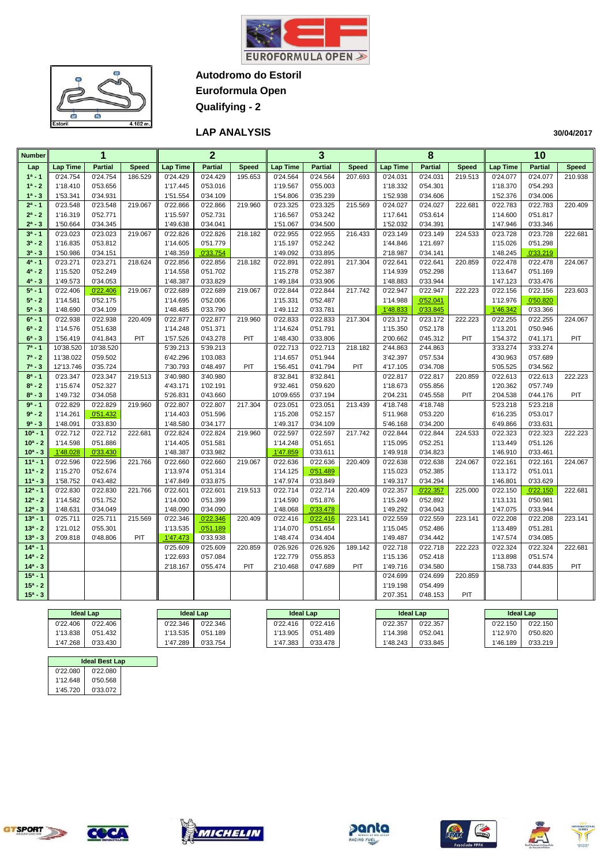



**Autodromo do Estoril Euroformula Open**

**Qualifying - 2**

**LAP ANALYSIS** 

| <b>Number</b>          |                      | 1                    |              |                      | $\overline{2}$       |              |                      | 3                    |              |                      | 8                    |              |                      | 10                   |              |
|------------------------|----------------------|----------------------|--------------|----------------------|----------------------|--------------|----------------------|----------------------|--------------|----------------------|----------------------|--------------|----------------------|----------------------|--------------|
| Lap                    | <b>Lap Time</b>      | <b>Partial</b>       | <b>Speed</b> | <b>Lap Time</b>      | <b>Partial</b>       | <b>Speed</b> | <b>Lap Time</b>      | <b>Partial</b>       | <b>Speed</b> | <b>Lap Time</b>      | <b>Partial</b>       | <b>Speed</b> | <b>Lap Time</b>      | <b>Partial</b>       | <b>Speed</b> |
| $1a - 1$               | 0'24.754             | 0'24.754             | 186.529      | 0'24.429             | 0'24.429             | 195.653      | 0'24.564             | 0'24.564             | 207.693      | 0'24.031             | 0'24.031             | 219.513      | 0'24.077             | 0'24.077             | 210.938      |
| $1^a - 2$              | 1'18.410             | 0'53.656             |              | 1'17.445             | 0'53.016             |              | 1'19.567             | 0'55.003             |              | 1'18.332             | 0'54.301             |              | 1'18.370             | 0'54.293             |              |
| $1^a - 3$              | 1'53.341             | 0'34.931             |              | 1'51.554             | 0'34.109             |              | 1'54.806             | 0'35.239             |              | 1'52.938             | 0'34.606             |              | 1'52.376             | 0'34.006             |              |
| $2^a - 1$              | 0'23.548             | 0'23.548             | 219.067      | 0'22.866             | 0'22.866             | 219.960      | 0'23.325             | 0'23.325             | 215.569      | 0'24.027             | 0'24.027             | 222.681      | 0'22.783             | 0'22.783             | 220.409      |
| $2^a - 2$              | 1'16.319             | 0'52.771             |              | 1'15.597             | 0'52.731             |              | 1'16.567             | 0'53.242             |              | 1'17.641             | 0'53.614             |              | 1'14.600             | 0'51.817             |              |
| $2^a - 3$              | 1'50.664             | 0'34.345             |              | 1'49.638             | 0'34.041             |              | 1'51.067             | 0'34.500             |              | 1'52.032             | 0'34.391             |              | 1'47.946             | 0'33.346             |              |
| $3^a - 1$              | 0'23.023             | 0'23.023             | 219.067      | 0'22.826             | 0'22.826             | 218.182      | 0'22.955             | 0'22.955             | 216.433      | 0'23.149             | 0'23.149             | 224.533      | 0'23.728             | 0'23.728             | 222.681      |
| $3^a - 2$              | 1'16.835             | 0'53.812             |              | 1'14.605             | 0'51.779             |              | 1'15.197             | 0'52.242             |              | 1'44.846             | 1'21.697             |              | 1'15.026             | 0'51.298             |              |
| $3^a - 3$              | 1'50.986             | 0'34.151             |              | 1'48.359             | 0'33.754             |              | 1'49.092             | 0'33.895             |              | 2'18.987             | 0'34.141             |              | 1'48.245             | 0'33.219             |              |
| $4^a - 1$              | 0'23.271             | 0'23.271             | 218.624      | 0'22.856             | 0'22.856             | 218.182      | 0'22.891             | 0'22.891             | 217.304      | 0'22.641             | 0'22.641             | 220.859      | 0'22.478             | 0'22.478             | 224.067      |
| $4^a - 2$              | 1'15.520             | 0'52.249             |              | 1'14.558             | 0'51.702             |              | 1'15.278             | 0'52.387             |              | 1'14.939             | 0'52.298             |              | 1'13.647             | 0'51.169             |              |
| $4^a - 3$              | 1'49.573             | 0'34.053             |              | 1'48.387             | 0'33.829             |              | 1'49.184             | 0'33.906             |              | 1'48.883             | 0'33.944             |              | 1'47.123             | 0'33.476             |              |
| $5^a - 1$              | 0'22.406             | 0'22.406             | 219.067      | 0'22.689             | 0'22.689             | 219.067      | 0'22.844             | 0'22.844             | 217.742      | 0'22.947             | 0'22.947             | 222.223      | 0'22.156             | 0'22.156             | 223.603      |
| $5^a - 2$              | 1'14.581             | 0'52.175             |              | 1'14.695             | 0'52.006             |              | 1'15.331             | 0'52.487             |              | 1'14.988             | 0'52.041             |              | 1'12.976             | 0'50.820             |              |
| $5^a - 3$              | 1'48.690             | 0'34.109             |              | 1'48.485             | 0'33.790             |              | 1'49.112             | 0'33.781             |              | 1'48.833             | 0'33.845             |              | 1'46.342             | 0'33.366             |              |
| $6^a - 1$              | 0'22.938             | 0'22.938             | 220.409      | 0'22.877             | 0'22.877             | 219.960      | 0'22.833             | 0'22.833             | 217.304      | 0'23.172             | 0'23.172             | 222.223      | 0'22.255             | 0'22.255             | 224.067      |
| $6^a - 2$              | 1'14.576             | 0'51.638             |              | 1'14.248             | 0'51.371             |              | 1'14.624             | 0'51.791             |              | 1'15.350             | 0'52.178             |              | 1'13.201             | 0'50.946             |              |
| $6^a - 3$              | 1'56.419             | 0'41.843             | PIT          | 1'57.526             | 0'43.278             | PIT          | 1'48.430             | 0'33.806             |              | 2'00.662             | 0'45.312             | PIT          | 1'54.372             | 0'41.171             | PIT          |
| $7^a - 1$              | 10'38.520            | 10'38.520            |              | 5'39.213             | 5'39.213             |              | 0'22.713             | 0'22.713             | 218.182      | 2'44.863             | 2'44.863             |              | 3'33.274             | 3'33.274             |              |
| $7^a - 2$              | 11'38.022            | 0'59.502             |              | 6'42.296             | 1'03.083             |              | 1'14.657             | 0'51.944             |              | 3'42.397             | 0'57.534             |              | 4'30.963             | 0'57.689             |              |
| $7^a - 3$              | 12'13.746            | 0'35.724             |              | 7'30.793             | 0'48.497             | PIT          | 1'56.451             | 0'41.794             | PIT          | 4'17.105             | 0'34.708             |              | 5'05.525             | 0'34.562             |              |
| $8^a - 1$              | 0'23.347             | 0'23.347             | 219.513      | 3'40.980             | 3'40.980             |              | 8'32.841             | 8'32.841             |              | 0'22.817             | 0'22.817             | 220.859      | 0'22.613             | 0'22.613             | 222.223      |
| $8^a - 2$              | 1'15.674             | 0'52.327             |              | 4'43.171             | 1'02.191             |              | 9'32.461             | 0'59.620             |              | 1'18.673             | 0'55.856             |              | 1'20.362             | 0'57.749             |              |
| $8^a - 3$              | 1'49.732             | 0'34.058             |              | 5'26.831             | 0'43.660             |              | 10'09.655            | 0'37.194             |              | 2'04.231             | 0'45.558             | PIT          | 2'04.538             | 0'44.176             | PIT          |
| $9a - 1$               | 0'22.829             | 0'22.829             | 219.960      | 0'22.807             | 0'22.807             | 217.304      | 0'23.051             | 0'23.051             | 213.439      | 4'18.748             | 4'18.748             |              | 5'23.218             | 5'23.218             |              |
| $9a - 2$               | 1'14.261             | 0'51.432             |              | 1'14.403             | 0'51.596             |              | 1'15.208             | 0'52.157             |              | 5'11.968             | 0'53.220             |              | 6'16.235             | 0'53.017             |              |
| $9^a - 3$              | 1'48.091             | 0'33.830             |              | 1'48.580             | 0'34.177             |              | 1'49.317             | 0'34.109             |              | 5'46.168             | 0'34.200             |              | 6'49.866             | 0'33.631             |              |
| $10a - 1$              | 0'22.712             | 0'22.712             | 222.681      | 0'22.824             | 0'22.824             | 219.960      | 0'22.597             | 0'22.597             | 217.742      | 0'22.844             | 0'22.844             | 224.533      | 0'22.323             | 0'22.323             | 222.223      |
| $10^a - 2$             | 1'14.598             | 0'51.886             |              | 1'14.405             | 0'51.581             |              | 1'14.248             | 0'51.651             |              | 1'15.095             | 0'52.251             |              | 1'13.449             | 0'51.126             |              |
| $10^a - 3$             | 1'48.028             | 0'33.430             |              | 1'48.387             | 0'33.982             |              | 1'47.859             | 0'33.611             |              | 1'49.918             | 0'34.823             |              | 1'46.910             | 0'33.461             |              |
| $11a - 1$              | 0'22.596             | 0'22.596             | 221.766      | 0'22.660             | 0'22.660             | 219.067      | 0'22.636             | 0'22.636             | 220.409      | 0'22.638             | 0'22.638             | 224.067      | 0'22.161             | 0'22.161             | 224.067      |
| $11a - 2$              | 1'15.270             | 0'52.674             |              | 1'13.974             | 0'51.314             |              | 1'14.125             | 0'51.489             |              | 1'15.023             | 0'52.385             |              | 1'13.172             | 0'51.011             |              |
| $11a - 3$<br>$12a - 1$ | 1'58.752             | 0'43.482             |              | 1'47.849             | 0'33.875             | 219.513      | 1'47.974             | 0'33.849             |              | 1'49.317             | 0'34.294<br>0'22.357 |              | 1'46.801<br>0'22.150 | 0'33.629<br>0'22.150 |              |
| $12^a - 2$             | 0'22.830<br>1'14.582 | 0'22.830<br>0'51.752 | 221.766      | 0'22.601<br>1'14.000 | 0'22.601<br>0'51.399 |              | 0'22.714<br>1'14.590 | 0'22.714<br>0'51.876 | 220.409      | 0'22.357<br>1'15.249 | 0'52.892             | 225.000      | 1'13.131             | 0'50.981             | 222.681      |
| $12^a - 3$             | 1'48.631             | 0'34.049             |              | 1'48.090             | 0'34.090             |              | 1'48.068             | 0'33.478             |              | 1'49.292             | 0'34.043             |              | 1'47.075             | 0'33.944             |              |
| $13a - 1$              | 0'25.711             | 0'25.711             | 215.569      | 0'22.346             | 0'22.346             | 220.409      | 0'22.416             | 0'22.416             | 223.141      | 0'22.559             | 0'22.559             | 223.141      | 0'22.208             | 0'22.208             | 223.141      |
| $13^a - 2$             | 1'21.012             | 0'55.301             |              | 1'13.535             | 0'51.189             |              | 1'14.070             | 0'51.654             |              | 1'15.045             | 0'52.486             |              | 1'13.489             | 0'51.281             |              |
| $13^a - 3$             | 2'09.818             | 0'48.806             | PIT          | 1'47.473             | 0'33.938             |              | 1'48.474             | 0'34.404             |              | 1'49.487             | 0'34.442             |              | 1'47.574             | 0'34.085             |              |
| $14a - 1$              |                      |                      |              | 0'25.609             | 0'25.609             | 220.859      | 0'26.926             | 0'26.926             | 189.142      | 0'22.718             | 0'22.718             | 222.223      | 0'22.324             | 0'22.324             | 222.681      |
| $14^a - 2$             |                      |                      |              | 1'22.693             | 0'57.084             |              | 1'22.779             | 0'55.853             |              | 1'15.136             | 0'52.418             |              | 1'13.898             | 0'51.574             |              |
| $14a - 3$              |                      |                      |              | 2'18.167             | 0'55.474             | PIT          | 2'10.468             | 0'47.689             | PIT          | 1'49.716             | 0'34.580             |              | 1'58.733             | 0'44.835             | PIT          |
| $15a - 1$              |                      |                      |              |                      |                      |              |                      |                      |              | 0'24.699             | 0'24.699             | 220.859      |                      |                      |              |
| $15^a - 2$             |                      |                      |              |                      |                      |              |                      |                      |              | 1'19.198             | 0'54.499             |              |                      |                      |              |
| $15^a - 3$             |                      |                      |              |                      |                      |              |                      |                      |              | 2'07.351             | 0'48.153             | PIT          |                      |                      |              |
|                        |                      |                      |              |                      |                      |              |                      |                      |              |                      |                      |              |                      |                      |              |
|                        | Ideal Lan            |                      |              | Ideal Lan            |                      |              | Ideal Lan            |                      |              | Ideal Lan            |                      |              | Ideal Lan            |                      |              |

|          | <b>Ideal Lap</b> |          | <b>Ideal Lap</b> | <b>Ideal Lap</b> |          |          | <b>Ideal Lap</b> | <b>Ideal Lap</b> |          |
|----------|------------------|----------|------------------|------------------|----------|----------|------------------|------------------|----------|
| 0'22.406 | 0'22.406         | 0'22.346 | 0'22.346         | 0'22.416         | 0'22.416 | 0'22.357 | 0'22.357         | 0'22.150         | 0'22.150 |
| 1'13.838 | 0'51.432         | ''13.535 | 0'51.189         | 1'13.905         | 0'51.489 | 1'14.398 | 0'52.041         | 1'12.970         | 0'50.820 |
| 1'47.268 | 0'33.430         | 1'47.289 | 0'33.754         | 1'47.383         | 0'33.478 | 1'48.243 | 0'33.845         | 1'46.189         | 0'33.219 |

|          | <b>Ideal Best Lap</b> |  |  |  |  |  |  |  |  |
|----------|-----------------------|--|--|--|--|--|--|--|--|
| 0'22.080 | 0'22.080              |  |  |  |  |  |  |  |  |
| 1'12.648 | 0'50.568              |  |  |  |  |  |  |  |  |
| 1'45.720 | 0'33.072              |  |  |  |  |  |  |  |  |
|          |                       |  |  |  |  |  |  |  |  |

 $\overline{c}$ 

 $\mathcal{L}^{\text{c}}$ 









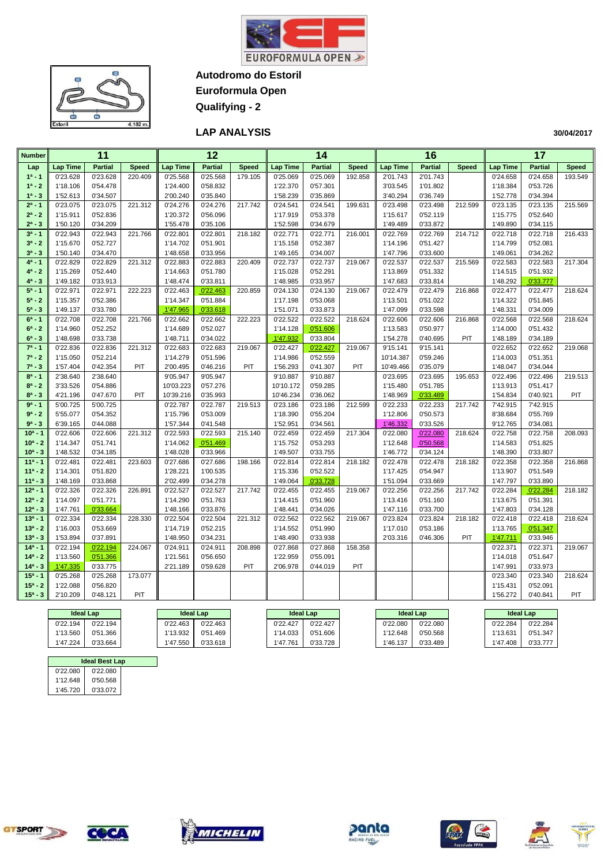



**Autodromo do Estoril Euroformula Open**

**Qualifying - 2**

**LAP ANALYSIS** 

| <b>Number</b>          |                      | 11                   |              |                      | $\overline{12}$      |              |                      | 14                   |              |                       | 16                   |              |                      | $\overline{17}$      |              |
|------------------------|----------------------|----------------------|--------------|----------------------|----------------------|--------------|----------------------|----------------------|--------------|-----------------------|----------------------|--------------|----------------------|----------------------|--------------|
| Lap                    | Lap Time             | <b>Partial</b>       | <b>Speed</b> | <b>Lap Time</b>      | <b>Partial</b>       | <b>Speed</b> | <b>Lap Time</b>      | <b>Partial</b>       | <b>Speed</b> | <b>Lap Time</b>       | <b>Partial</b>       | <b>Speed</b> | <b>Lap Time</b>      | <b>Partial</b>       | <b>Speed</b> |
| $1^a - 1$              | 0'23.628             | 0'23.628             | 220.409      | 0'25.568             | 0'25.568             | 179.105      | 0'25.069             | 0'25.069             | 192.858      | 2'01.743              | 2'01.743             |              | 0'24.658             | 0'24.658             | 193.549      |
| $1^a - 2$              | 1'18.106             | 0'54.478             |              | 1'24.400             | 0'58.832             |              | 1'22.370             | 0'57.301             |              | 3'03.545              | 1'01.802             |              | 1'18.384             | 0'53.726             |              |
| $1^a - 3$              | 1'52.613             | 0'34.507             |              | 2'00.240             | 0'35.840             |              | 1'58.239             | 0'35.869             |              | 3'40.294              | 0'36.749             |              | 1'52.778             | 0'34.394             |              |
| $2^a - 1$              | 0'23.075             | 0'23.075             | 221.312      | 0'24.276             | 0'24.276             | 217.742      | 0'24.541             | 0'24.541             | 199.631      | 0'23.498              | 0'23.498             | 212.599      | 0'23.135             | 0'23.135             | 215.569      |
| $2^a - 2$              | 1'15.911             | 0'52.836             |              | 1'20.372             | 0'56.096             |              | 1'17.919             | 0'53.378             |              | 1'15.617              | 0'52.119             |              | 1'15.775             | 0'52.640             |              |
| $2^a - 3$              | 1'50.120             | 0'34.209             |              | 1'55.478             | 0'35.106             |              | 1'52.598             | 0'34.679             |              | 1'49.489              | 0'33.872             |              | 1'49.890             | 0'34.115             |              |
| $3a - 1$               | 0'22.943             | 0'22.943             | 221.766      | 0'22.801             | 0'22.801             | 218.182      | 0'22.771             | 0'22.771             | 216.001      | 0'22.769              | 0'22.769             | 214.712      | 0'22.718             | 0'22.718             | 216.433      |
| $3^a - 2$              | 1'15.670             | 0'52.727             |              | 1'14.702             | 0'51.901             |              | 1'15.158             | 0'52.387             |              | 1'14.196              | 0'51.427             |              | 1'14.799             | 0'52.081             |              |
| $3^a - 3$              | 1'50.140             | 0'34.470             |              | 1'48.658             | 0'33.956             |              | 1'49.165             | 0'34.007             |              | 1'47.796              | 0'33.600             |              | 1'49.061             | 0'34.262             |              |
| $4^a - 1$              | 0'22.829             | 0'22.829             | 221.312      | 0'22.883             | 0'22.883             | 220.409      | 0'22.737             | 0'22.737             | 219.067      | 0'22.537              | 0'22.537             | 215.569      | 0'22.583             | 0'22.583             | 217.304      |
| $4^a - 2$              | 1'15.269             | 0'52.440             |              | 1'14.663             | 0'51.780             |              | 1'15.028             | 0'52.291             |              | 1'13.869              | 0'51.332             |              | 1'14.515             | 0'51.932             |              |
| $4^a - 3$              | 1'49.182             | 0'33.913             |              | 1'48.474             | 0'33.811             |              | 1'48.985             | 0'33.957             |              | 1'47.683              | 0'33.814             |              | 1'48.292             | 0'33.777             |              |
| $5^a - 1$              | 0'22.971             | 0'22.971             | 222.223      | 0'22.463             | 0'22.463             | 220.859      | 0'24.130             | 0'24.130             | 219.067      | 0'22.479              | 0'22.479             | 216.868      | 0'22.477             | 0'22.477             | 218.624      |
| $5^a - 2$              | 1'15.357             | 0'52.386             |              | 1'14.347             | 0'51.884             |              | 1'17.198             | 0'53.068             |              | 1'13.501              | 0'51.022             |              | 1'14.322             | 0'51.845             |              |
| $5^a - 3$              | 1'49.137             | 0'33.780             |              | 1'47.965             | 0'33.618             |              | 1'51.071             | 0'33.873             |              | 1'47.099              | 0'33.598             |              | 1'48.331             | 0'34.009             |              |
| $6^a - 1$              | 0'22.708             | 0'22.708             | 221.766      | 0'22.662             | 0'22.662             | 222.223      | 0'22.522             | 0'22.522             | 218.624      | 0'22.606              | 0'22.606             | 216.868      | 0'22.568             | 0'22.568             | 218.624      |
| $6^a - 2$              | 1'14.960             | 0'52.252             |              | 1'14.689             | 0'52.027             |              | 1'14.128             | 0'51.606             |              | 1'13.583              | 0'50.977             |              | 1'14.000             | 0'51.432             |              |
| $6^a - 3$              | 1'48.698             | 0'33.738             |              | 1'48.711             | 0'34.022             |              | 1'47.932             | 0'33.804             |              | 1'54.278              | 0'40.695             | PIT          | 1'48.189             | 0'34.189             |              |
| $7^a - 1$              | 0'22.836             | 0'22.836             | 221.312      | 0'22.683             | 0'22.683             | 219.067      | 0'22.427             | 0'22.427             | 219.067      | 9'15.141              | 9'15.141             |              | 0'22.652             | 0'22.652             | 219.068      |
| $7^a - 2$<br>$7^a - 3$ | 1'15.050             | 0'52.214             |              | 1'14.279             | 0'51.596             |              | 1'14.986             | 0'52.559             |              | 10'14.387             | 0'59.246             |              | 1'14.003             | 0'51.351             |              |
| $8^a - 1$              | 1'57.404<br>2'38.640 | 0'42.354<br>2'38.640 | PIT          | 2'00.495<br>9'05.947 | 0'46.216<br>9'05.947 | PIT          | 1'56.293<br>9'10.887 | 0'41.307<br>9'10.887 | PIT          | 10'49.466<br>0'23.695 | 0'35.079<br>0'23.695 | 195.653      | 1'48.047<br>0'22.496 | 0'34.044<br>0'22.496 | 219.513      |
| $8^a - 2$              | 3'33.526             | 0'54.886             |              | 10'03.223            | 0'57.276             |              | 10'10.172            | 0'59.285             |              | 1'15.480              | 0'51.785             |              | 1'13.913             | 0'51.417             |              |
| $8^a - 3$              | 4'21.196             | 0'47.670             | PIT          | 10'39.216            | 0'35.993             |              | 10'46.234            | 0'36.062             |              | 1'48.969              | 0'33.489             |              | 1'54.834             | 0'40.921             | PIT          |
| $9a - 1$               | 5'00.725             | 5'00.725             |              | 0'22.787             | 0'22.787             | 219.513      | 0'23.186             | 0'23.186             | 212.599      | 0'22.233              | 0'22.233             | 217.742      | 7'42.915             | 7'42.915             |              |
| $9a - 2$               | 5'55.077             | 0'54.352             |              | 1'15.796             | 0'53.009             |              | 1'18.390             | 0'55.204             |              | 1'12.806              | 0'50.573             |              | 8'38.684             | 0'55.769             |              |
| $9^a - 3$              | 6'39.165             | 0'44.088             |              | 1'57.344             | 0'41.548             |              | 1'52.951             | 0'34.561             |              | 1'46.332              | 0'33.526             |              | 9'12.765             | 0'34.081             |              |
| $10a - 1$              | 0'22.606             | 0'22.606             | 221.312      | 0'22.593             | 0'22.593             | 215.140      | 0'22.459             | 0'22.459             | 217.304      | 0'22.080              | 0'22.080             | 218.624      | 0'22.758             | 0'22.758             | 208.093      |
| $10^a - 2$             | 1'14.347             | 0'51.741             |              | 1'14.062             | 0'51.469             |              | 1'15.752             | 0'53.293             |              | 1'12.648              | 0'50.568             |              | 1'14.583             | 0'51.825             |              |
| $10^a - 3$             | 1'48.532             | 0'34.185             |              | 1'48.028             | 0'33.966             |              | 1'49.507             | 0'33.755             |              | 1'46.772              | 0'34.124             |              | 1'48.390             | 0'33.807             |              |
| $11a - 1$              | 0'22.481             | 0'22.481             | 223.603      | 0'27.686             | 0'27.686             | 198.166      | 0'22.814             | 0'22.814             | 218.182      | 0'22.478              | 0'22.478             | 218.182      | 0'22.358             | 0'22.358             | 216.868      |
| $11a - 2$              | 1'14.301             | 0'51.820             |              | 1'28.221             | 1'00.535             |              | 1'15.336             | 0'52.522             |              | 1'17.425              | 0'54.947             |              | 1'13.907             | 0'51.549             |              |
| $11a - 3$              | 1'48.169             | 0'33.868             |              | 2'02.499             | 0'34.278             |              | 1'49.064             | 0'33.728             |              | 1'51.094              | 0'33.669             |              | 1'47.797             | 0'33.890             |              |
| $12a - 1$              | 0'22.326             | 0'22.326             | 226.891      | 0'22.527             | 0'22.527             | 217.742      | 0'22.455             | 0'22.455             | 219.067      | 0'22.256              | 0'22.256             | 217.742      | 0'22.284             | 0'22.284             | 218.182      |
| $12^a - 2$             | 1'14.097             | 0'51.771             |              | 1'14.290             | 0'51.763             |              | 1'14.415             | 0'51.960             |              | 1'13.416              | 0'51.160             |              | 1'13.675             | 0'51.391             |              |
| $12^a - 3$             | 1'47.761             | 0'33.664             |              | 1'48.166             | 0'33.876             |              | 1'48.441             | 0'34.026             |              | 1'47.116              | 0'33.700             |              | 1'47.803             | 0'34.128             |              |
| $13a - 1$              | 0'22.334             | 0'22.334             | 228.330      | 0'22.504             | 0'22.504             | 221.312      | 0'22.562             | 0'22.562             | 219.067      | 0'23.824              | 0'23.824             | 218.182      | 0'22.418             | 0'22.418             | 218.624      |
| $13^a - 2$             | 1'16.003             | 0'53.669             |              | 1'14.719             | 0'52.215             |              | 1'14.552             | 0'51.990             |              | 1'17.010              | 0'53.186             |              | 1'13.765             | 0'51.347             |              |
| $13^a - 3$             | 1'53.894             | 0'37.891             |              | 1'48.950             | 0'34.231             |              | 1'48.490             | 0'33.938             |              | 2'03.316              | 0'46.306             | PIT          | 1'47.711             | 0'33.946             |              |
| $14a - 1$              | 0'22.194             | 0'22.194             | 224.067      | 0'24.911             | 0'24.911             | 208.898      | 0'27.868             | 0'27.868             | 158.358      |                       |                      |              | 0'22.371             | 0'22.371             | 219.067      |
| $14a - 2$              | 1'13.560             | 0'51.366             |              | 1'21.561             | 0'56.650             |              | 1'22.959             | 0'55.091             |              |                       |                      |              | 1'14.018             | 0'51.647             |              |
| $14^a - 3$             | 1'47.335             | 0'33.775             |              | 2'21.189             | 0'59.628             | PIT          | 2'06.978             | 0'44.019             | PIT          |                       |                      |              | 1'47.991             | 0'33.973             |              |
| $15a - 1$              | 0'25.268             | 0'25.268             | 173.077      |                      |                      |              |                      |                      |              |                       |                      |              | 0'23.340             | 0'23.340             | 218.624      |
| $15^a - 2$             | 1'22.088             | 0'56.820             |              |                      |                      |              |                      |                      |              |                       |                      |              | 1'15.431             | 0'52.091             |              |
| $15^a - 3$             | 2'10.209             | 0'48.121             | PIT          |                      |                      |              |                      |                      |              |                       |                      |              | 1'56.272             | 0'40.841             | PIT          |
|                        | Island Low           |                      |              | Island Low           |                      |              | Island Low           |                      |              | Ideal Lan             |                      |              | Island Low           |                      |              |

| <b>Ideal Lap</b> |          |          | <b>Ideal Lap</b> | <b>Ideal Lap</b> |          | <b>Ideal Lap</b> |          |          | <b>Ideal Lap</b> |
|------------------|----------|----------|------------------|------------------|----------|------------------|----------|----------|------------------|
| 0'22.194         | 0'22.194 | 0'22.463 | 0'22.463         | 0'22.427         | 0'22.427 | 0'22.080         | 0'22.080 | 0'22.284 | 0'22.284         |
| 1'13.560         | 0'51.366 | 1'13.932 | 0'51.469         | 1'14.033         | 0'51.606 | 1'12.648         | 0'50.568 | 1'13.631 | 0'51.347         |
| 1'47.224         | 0'33.664 | 1'47.550 | 0'33.618         | 1'47.761         | 0'33.728 | '46.137          | 0'33.489 | 1'47.408 | 0'33.777         |

| <b>Ideal Best Lap</b> |  |
|-----------------------|--|
| 0'22.080              |  |
| 0'50.568              |  |
| 0'33.072              |  |
|                       |  |

 $\overline{c}$ 









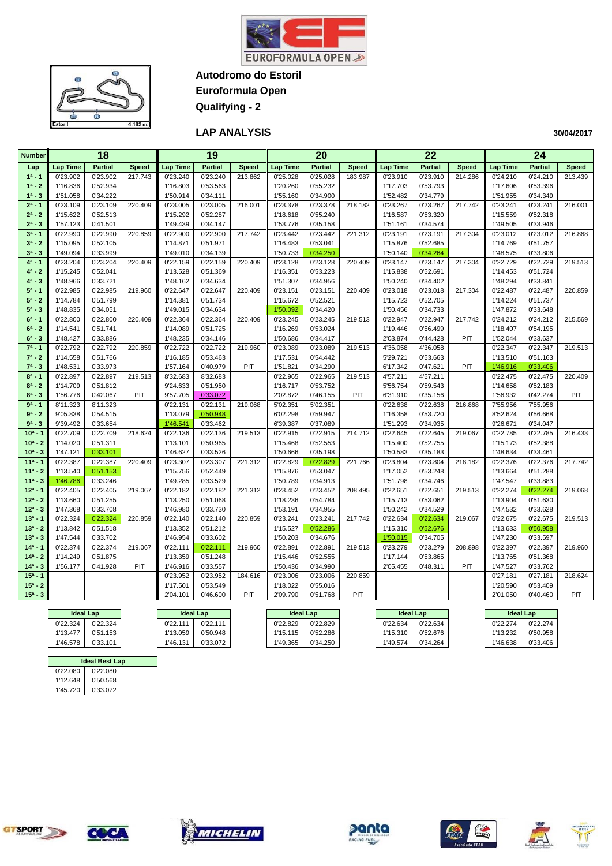



**Autodromo do Estoril Euroformula Open**

**Qualifying - 2**

**LAP ANALYSIS** 

| <b>Number</b>            |                      | $\overline{18}$      |              |                      | 19                   |              |                      | $\overline{20}$      |              |                      | $\overline{22}$      |              |                      | 24                   |              |
|--------------------------|----------------------|----------------------|--------------|----------------------|----------------------|--------------|----------------------|----------------------|--------------|----------------------|----------------------|--------------|----------------------|----------------------|--------------|
| Lap                      | <b>Lap Time</b>      | <b>Partial</b>       | <b>Speed</b> | <b>Lap Time</b>      | <b>Partial</b>       | <b>Speed</b> | <b>Lap Time</b>      | <b>Partial</b>       | <b>Speed</b> | <b>Lap Time</b>      | <b>Partial</b>       | <b>Speed</b> | <b>Lap Time</b>      | <b>Partial</b>       | <b>Speed</b> |
| $1a - 1$                 | 0'23.902             | 0'23.902             | 217.743      | 0'23.240             | 0'23.240             | 213.862      | 0'25.028             | 0'25.028             | 183.987      | 0'23.910             | 0'23.910             | 214.286      | 0'24.210             | 0'24.210             | 213.439      |
| $1^a - 2$                | 1'16.836             | 0'52.934             |              | 1'16.803             | 0'53.563             |              | 1'20.260             | 0'55.232             |              | 1'17.703             | 0'53.793             |              | 1'17.606             | 0'53.396             |              |
| $1^a - 3$                | 1'51.058             | 0'34.222             |              | 1'50.914             | 0'34.111             |              | 1'55.160             | 0'34.900             |              | 1'52.482             | 0'34.779             |              | 1'51.955             | 0'34.349             |              |
| $2^a - 1$                | 0'23.109             | 0'23.109             | 220.409      | 0'23.005             | 0'23.005             | 216.001      | 0'23.378             | 0'23.378             | 218.182      | 0'23.267             | 0'23.267             | 217.742      | 0'23.241             | 0'23.241             | 216.001      |
| $2^a - 2$                | 1'15.622             | 0'52.513             |              | 1'15.292             | 0'52.287             |              | 1'18.618             | 0'55.240             |              | 1'16.587             | 0'53.320             |              | 1'15.559             | 0'52.318             |              |
| $2^a - 3$                | 1'57.123             | 0'41.501             |              | 1'49.439             | 0'34.147             |              | 1'53.776             | 0'35.158             |              | 1'51.161             | 0'34.574             |              | 1'49.505             | 0'33.946             |              |
| $3a - 1$                 | 0'22.990             | 0'22.990             | 220.859      | 0'22.900             | 0'22.900             | 217.742      | 0'23.442             | 0'23.442             | 221.312      | 0'23.191             | 0'23.191             | 217.304      | 0'23.012             | 0'23.012             | 216.868      |
| $3^a - 2$                | 1'15.095             | 0'52.105             |              | 1'14.871             | 0'51.971             |              | 1'16.483             | 0'53.041             |              | 1'15.876             | 0'52.685             |              | 1'14.769             | 0'51.757             |              |
| $3^a - 3$                | 1'49.094             | 0'33.999             |              | 1'49.010             | 0'34.139             |              | 1'50.733             | 0'34.250             |              | 1'50.140             | 0'34.264             |              | 1'48.575             | 0'33.806             |              |
| $4^a - 1$                | 0'23.204             | 0'23.204             | 220.409      | 0'22.159             | 0'22.159             | 220.409      | 0'23.128             | 0'23.128             | 220.409      | 0'23.147             | 0'23.147             | 217.304      | 0'22.729             | 0'22.729             | 219.513      |
| $4^a - 2$                | 1'15.245             | 0'52.041             |              | 1'13.528             | 0'51.369             |              | 1'16.351             | 0'53.223             |              | 1'15.838             | 0'52.691             |              | 1'14.453             | 0'51.724             |              |
| $4^a - 3$<br>$5^a - 1$   | 1'48.966<br>0'22.985 | 0'33.721<br>0'22.985 | 219.960      | 1'48.162<br>0'22.647 | 0'34.634<br>0'22.647 | 220.409      | 1'51.307<br>0'23.151 | 0'34.956<br>0'23.151 | 220.409      | 1'50.240             | 0'34.402<br>0'23.018 | 217.304      | 1'48.294<br>0'22.487 | 0'33.841<br>0'22.487 | 220.859      |
| $5^a - 2$                | 1'14.784             | 0'51.799             |              | 1'14.381             | 0'51.734             |              | 1'15.672             | 0'52.521             |              | 0'23.018<br>1'15.723 | 0'52.705             |              | 1'14.224             | 0'51.737             |              |
| $5^a - 3$                | 1'48.835             | 0'34.051             |              | 1'49.015             | 0'34.634             |              | 1'50.092             | 0'34.420             |              | 1'50.456             | 0'34.733             |              | 1'47.872             | 0'33.648             |              |
| $6^a - 1$                | 0'22.800             | 0'22.800             | 220.409      | 0'22.364             | 0'22.364             | 220.409      | 0'23.245             | 0'23.245             | 219.513      | 0'22.947             | 0'22.947             | 217.742      | 0'24.212             | 0'24.212             | 215.569      |
| $6^a - 2$                | 1'14.541             | 0'51.741             |              | 1'14.089             | 0'51.725             |              | 1'16.269             | 0'53.024             |              | 1'19.446             | 0'56.499             |              | 1'18.407             | 0'54.195             |              |
| $6^a - 3$                | 1'48.427             | 0'33.886             |              | 1'48.235             | 0'34.146             |              | 1'50.686             | 0'34.417             |              | 2'03.874             | 0'44.428             | PIT          | 1'52.044             | 0'33.637             |              |
| $7^a - 1$                | 0'22.792             | 0'22.792             | 220.859      | 0'22.722             | 0'22.722             | 219.960      | 0'23.089             | 0'23.089             | 219.513      | 4'36.058             | 4'36.058             |              | 0'22.347             | 0'22.347             | 219.513      |
| $7^a - 2$                | 1'14.558             | 0'51.766             |              | 1'16.185             | 0'53.463             |              | 1'17.531             | 0'54.442             |              | 5'29.721             | 0'53.663             |              | 1'13.510             | 0'51.163             |              |
| $7^a - 3$                | 1'48.531             | 0'33.973             |              | 1'57.164             | 0'40.979             | PIT          | 1'51.821             | 0'34.290             |              | 6'17.342             | 0'47.621             | PIT          | 1'46.916             | 0'33.406             |              |
| $8^a - 1$                | 0'22.897             | 0'22.897             | 219.513      | 8'32.683             | 8'32.683             |              | 0'22.965             | 0'22.965             | 219.513      | 4'57.211             | 4'57.211             |              | 0'22.475             | 0'22.475             | 220.409      |
| $8^a - 2$                | 1'14.709             | 0'51.812             |              | 9'24.633             | 0'51.950             |              | 1'16.717             | 0'53.752             |              | 5'56.754             | 0'59.543             |              | 1'14.658             | 0'52.183             |              |
| $8^a - 3$                | 1'56.776             | 0'42.067             | PIT          | 9'57.705             | 0'33.072             |              | 2'02.872             | 0'46.155             | PIT          | 6'31.910             | 0'35.156             |              | 1'56.932             | 0'42.274             | PIT          |
| $9a - 1$                 | 8'11.323             | 8'11.323             |              | 0'22.131             | 0'22.131             | 219.068      | 5'02.351             | 5'02.351             |              | 0'22.638             | 0'22.638             | 216.868      | 7'55.956             | 7'55.956             |              |
| $9a - 2$                 | 9'05.838             | 0'54.515             |              | 1'13.079             | 0'50.948             |              | 6'02.298             | 0'59.947             |              | 1'16.358             | 0'53.720             |              | 8'52.624             | 0'56.668             |              |
| $9a - 3$                 | 9'39.492             | 0'33.654             |              | 1'46.541             | 0'33.462             |              | 6'39.387             | 0'37.089             |              | 1'51.293             | 0'34.935             |              | 9'26.671             | 0'34.047             |              |
| $10a - 1$                | 0'22.709             | 0'22.709             | 218.624      | 0'22.136             | 0'22.136             | 219.513      | 0'22.915             | 0'22.915             | 214.712      | 0'22.645             | 0'22.645             | 219.067      | 0'22.785             | 0'22.785             | 216.433      |
| $10^a - 2$               | 1'14.020             | 0'51.311             |              | 1'13.101             | 0'50.965             |              | 1'15.468             | 0'52.553             |              | 1'15.400             | 0'52.755             |              | 1'15.173             | 0'52.388             |              |
| $10^a - 3$               | 1'47.121             | 0'33.101             |              | 1'46.627             | 0'33.526             |              | 1'50.666             | 0'35.198             |              | 1'50.583             | 0'35.183             |              | 1'48.634             | 0'33.461             |              |
| $11a - 1$                | 0'22.387             | 0'22.387             | 220.409      | 0'23.307             | 0'23.307             | 221.312      | 0'22.829             | 0'22.829             | 221.766      | 0'23.804             | 0'23.804             | 218.182      | 0'22.376             | 0'22.376             | 217.742      |
| $11a - 2$                | 1'13.540             | 0'51.153             |              | 1'15.756             | 0'52.449             |              | 1'15.876             | 0'53.047             |              | 1'17.052             | 0'53.248             |              | 1'13.664             | 0'51.288             |              |
| $11a - 3$                | 1'46.786             | 0'33.246             |              | 1'49.285             | 0'33.529             |              | 1'50.789             | 0'34.913             |              | 1'51.798             | 0'34.746             |              | 1'47.547             | 0'33.883             |              |
| $12^a - 1$               | 0'22.405             | 0'22.405             | 219.067      | 0'22.182             | 0'22.182             | 221.312      | 0'23.452             | 0'23.452             | 208.495      | 0'22.651             | 0'22.651             | 219.513      | 0'22.274             | 0'22.274             | 219.068      |
| $12^a - 2$<br>$12^a - 3$ | 1'13.660<br>1'47.368 | 0'51.255<br>0'33.708 |              | 1'13.250             | 0'51.068<br>0'33.730 |              | 1'18.236             | 0'54.784<br>0'34.955 |              | 1'15.713<br>1'50.242 | 0'53.062<br>0'34.529 |              | 1'13.904<br>1'47.532 | 0'51.630<br>0'33.628 |              |
| $13a - 1$                | 0'22.324             | 0'22.324             | 220.859      | 1'46.980<br>0'22.140 | 0'22.140             | 220.859      | 1'53.191             | 0'23.241             | 217.742      | 0'22.634             | 0'22.634             |              | 0'22.675             | 0'22.675             | 219.513      |
| $13^a - 2$               | 1'13.842             | 0'51.518             |              | 1'13.352             | 0'51.212             |              | 0'23.241<br>1'15.527 | 0'52.286             |              | 1'15.310             | 0'52.676             | 219.067      | 1'13.633             | 0'50.958             |              |
| $13^a - 3$               | 1'47.544             | 0'33.702             |              | 1'46.954             | 0'33.602             |              | 1'50.203             | 0'34.676             |              | 1'50.015             | 0'34.705             |              | 1'47.230             | 0'33.597             |              |
| $14a - 1$                | 0'22.374             | 0'22.374             | 219.067      | 0'22.111             | 0'22.111             | 219.960      | 0'22.891             | 0'22.891             | 219.513      | 0'23.279             | 0'23.279             | 208.898      | 0'22.397             | 0'22.397             | 219.960      |
| $14a - 2$                | 1'14.249             | 0'51.875             |              | 1'13.359             | 0'51.248             |              | 1'15.446             | 0'52.555             |              | 1'17.144             | 0'53.865             |              | 1'13.765             | 0'51.368             |              |
| $14^a - 3$               | 1'56.177             | 0'41.928             | PIT          | 1'46.916             | 0'33.557             |              | 1'50.436             | 0'34.990             |              | 2'05.455             | 0'48.311             | PIT          | 1'47.527             | 0'33.762             |              |
| $15a - 1$                |                      |                      |              | 0'23.952             | 0'23.952             | 184.616      | 0'23.006             | 0'23.006             | 220.859      |                      |                      |              | 0'27.181             | 0'27.181             | 218.624      |
| $15^a - 2$               |                      |                      |              | 1'17.501             | 0'53.549             |              | 1'18.022             | 0'55.016             |              |                      |                      |              | 1'20.590             | 0'53.409             |              |
| $15^a - 3$               |                      |                      |              | 2'04.101             | 0'46.600             | PIT          | 2'09.790             | 0'51.768             | PIT          |                      |                      |              | 2'01.050             | 0'40.460             | PIT          |
|                          |                      |                      |              |                      |                      |              |                      |                      |              |                      |                      |              |                      |                      |              |

| <b>Ideal Lap</b> |          | <b>Ideal Lap</b> |          | <b>Ideal Lap</b> |          |          | <b>Ideal Lap</b> | <b>Ideal Lap</b> |          |
|------------------|----------|------------------|----------|------------------|----------|----------|------------------|------------------|----------|
| 0'22.324         | 0'22.324 | 0'22.111         | 0'22.111 | 0'22.829         | 0'22.829 | 0'22.634 | 0'22.634         | 0'22.274         | 22.274   |
| 1'13.477         | 0'51.153 | 13.059           | 0'50.948 | 1'15.115         | 0'52.286 | 1'15.310 | 0'52.676         | 1'13.232         | 0'50.958 |
| 1'46.578         | 0'33.101 | '46.131          | 0'33.072 | '49.365          | 0'34.250 | ''49.574 | 0'34.264         | 1'46.638         | 0'33.406 |
|                  |          |                  |          |                  |          |          |                  |                  |          |

| <b>Ideal Best Lap</b> |  |
|-----------------------|--|
| 0'22.080              |  |
| 0'50.568              |  |
| 0'33.072              |  |
|                       |  |











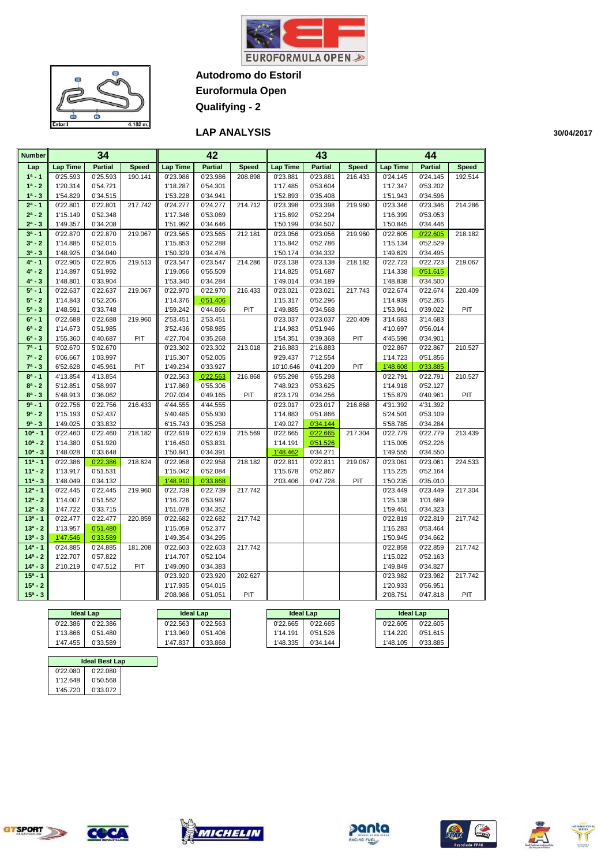

 $\bullet$ Œ  $\sqrt{2}$ œ **GT**  $4.182r$  $\overline{a}$ 

**Autodromo do Estoril Euroformula Open**

**Qualifying - 2**

#### **LAP ANALYSIS**

| <b>Number</b>           |                      | 34                   |              |                      | 42                   |              |                      | 43                   |              |                      | 44                   |              |
|-------------------------|----------------------|----------------------|--------------|----------------------|----------------------|--------------|----------------------|----------------------|--------------|----------------------|----------------------|--------------|
| Lap                     | <b>Lap Time</b>      | <b>Partial</b>       | <b>Speed</b> | <b>Lap Time</b>      | <b>Partial</b>       | <b>Speed</b> | Lap Time             | <b>Partial</b>       | <b>Speed</b> | <b>Lap Time</b>      | <b>Partial</b>       | <b>Speed</b> |
| $1a - 1$                | 0'25.593             | 0'25.593             | 190.141      | 0'23.986             | 0'23.986             | 208.898      | 0'23.881             | 0'23.881             | 216.433      | 0'24.145             | 0'24.145             | 192.514      |
| $1^a - 2$               | 1'20.314             | 0'54.721             |              | 1'18.287             | 0'54.301             |              | 1'17.485             | 0'53.604             |              | 1'17.347             | 0'53.202             |              |
| $1^a - 3$               | 1'54.829             | 0'34.515             |              | 1'53.228             | 0'34.941             |              | 1'52.893             | 0'35.408             |              | 1'51.943             | 0'34.596             |              |
| $2^a - 1$               | 0'22.801             | 0'22.801             | 217.742      | 0'24.277             | 0'24.277             | 214.712      | 0'23.398             | 0'23.398             | 219.960      | 0'23.346             | 0'23.346             | 214.286      |
| $2^a - 2$               | 1'15.149             | 0'52.348             |              | 1'17.346             | 0'53.069             |              | 1'15.692             | 0'52.294             |              | 1'16.399             | 0'53.053             |              |
| $2^a - 3$               | 1'49.357             | 0'34.208             |              | 1'51.992             | 0'34.646             |              | 1'50.199             | 0'34.507             |              | 1'50.845             | 0'34.446             |              |
| $3a - 1$                | 0'22.870             | 0'22.870             | 219.067      | 0'23.565             | 0'23.565             | 212.181      | 0'23.056             | 0'23.056             | 219.960      | 0'22.605             | 0'22.605             | 218.182      |
| $3^a - 2$               | 1'14.885             | 0'52.015             |              | 1'15.853             | 0'52.288             |              | 1'15.842             | 0'52.786             |              | 1'15.134             | 0'52.529             |              |
| $3^a - 3$               | 1'48.925             | 0'34.040             |              | 1'50.329             | 0'34.476             |              | 1'50.174             | 0'34.332             |              | 1'49.629             | 0'34.495             |              |
| $4^a - 1$               | 0'22.905             | 0'22.905             | 219.513      | 0'23.547             | 0'23.547             | 214.286      | 0'23.138             | 0'23.138             | 218.182      | 0'22.723             | 0'22.723             | 219.067      |
| $4^a - 2$               | 1'14.897             | 0'51.992             |              | 1'19.056             | 0'55.509             |              | 1'14.825             | 0'51.687             |              | 1'14.338             | 0'51.615             |              |
| $4^a - 3$               | 1'48.801             | 0'33.904             |              | 1'53.340             | 0'34.284             |              | 1'49.014             | 0'34.189             |              | 1'48.838             | 0'34.500             |              |
| $5^a - 1$               | 0'22.637             | 0'22.637             | 219.067      | 0'22.970             | 0'22.970             | 216.433      | 0'23.021             | 0'23.021             | 217.743      | 0'22.674             | 0'22.674             | 220.409      |
| $5^a - 2$               | 1'14.843             | 0'52.206             |              | 1'14.376             | 0'51.406             |              | 1'15.317             | 0'52.296             |              | 1'14.939             | 0'52.265             |              |
| $5^a - 3$               | 1'48.591             | 0'33.748             |              | 1'59.242             | 0'44.866             | PIT          | 1'49.885             | 0'34.568             |              | 1'53.961             | 0'39.022             | PIT          |
| $6^a - 1$               | 0'22.688             | 0'22.688             | 219.960      | 2'53.451             | 2'53.451             |              | 0'23.037             | 0'23.037             | 220.409      | 3'14.683             | 3'14.683             |              |
| $6^a - 2$               | 1'14.673             | 0'51.985             |              | 3'52.436             | 0'58.985             |              | 1'14.983             | 0'51.946             |              | 4'10.697             | 0'56.014             |              |
| $6^a - 3$               | 1'55.360             | 0'40.687             | PIT          | 4'27.704             | 0'35.268             |              | 1'54.351             | 0'39.368             | PIT          | 4'45.598             | 0'34.901             |              |
| $7^a - 1$               | 5'02.670             | 5'02.670             |              | 0'23.302             | 0'23.302             | 213.018      | 2'16.883             | 2'16.883             |              | 0'22.867             | 0'22.867             | 210.527      |
| $7^a - 2$               | 6'06.667             | 1'03.997             |              | 1'15.307             | 0'52.005             |              | 9'29.437             | 7'12.554             |              | 1'14.723             | 0'51.856             |              |
| $7^a - 3$               | 6'52.628             | 0'45.961             | PIT          | 1'49.234             | 0'33.927             |              | 10'10.646            | 0'41.209             | PIT          | 1'48.608             | 0'33.885             |              |
| $8^a - 1$               | 4'13.854             | 4'13.854             |              | 0'22.563             | 0'22.563             | 216.868      | 6'55.298             | 6'55.298             |              | 0'22.791             | 0'22.791             | 210.527      |
| $8^a - 2$               | 5'12.851             | 0'58.997             |              | 1'17.869             | 0'55.306             |              | 7'48.923             | 0'53.625             |              | 1'14.918             | 0'52.127             |              |
| $8^a - 3$               | 5'48.913             | 0'36.062             |              | 2'07.034             | 0'49.165             | PIT          | 8'23.179             | 0'34.256             |              | 1'55.879             | 0'40.961             | PIT          |
| $9a - 1$                | 0'22.756             | 0'22.756             | 216.433      | 4'44.555             | 4'44.555             |              | 0'23.017             | 0'23.017             | 216.868      | 4'31.392             | 4'31.392             |              |
| $9a - 2$                | 1'15.193             | 0'52.437             |              | 5'40.485             | 0'55.930             |              | 1'14.883             | 0'51.866             |              | 5'24.501             | 0'53.109             |              |
| $9a - 3$                | 1'49.025             | 0'33.832             |              | 6'15.743             | 0'35.258             |              | 1'49.027             | 0'34.144             |              | 5'58.785             | 0'34.284             |              |
| $10a - 1$               | 0'22.460             | 0'22.460             | 218.182      | 0'22.619             | 0'22.619             | 215.569      | 0'22.665             | 0'22.665             | 217.304      | 0'22.779             | 0'22.779             | 213.439      |
| $10^a - 2$              | 1'14.380             | 0'51.920             |              | 1'16.450             | 0'53.831             |              | 1'14.191             | 0'51.526             |              | 1'15.005             | 0'52.226             |              |
| $10^a - 3$<br>$11a - 1$ | 1'48.028             | 0'33.648<br>0'22.386 |              | 1'50.841             | 0'34.391             |              | 1'48.462             | 0'34.271             |              | 1'49.555             | 0'34.550             |              |
| $11a - 2$               | 0'22.386<br>1'13.917 | 0'51.531             | 218.624      | 0'22.958<br>1'15.042 | 0'22.958<br>0'52.084 | 218.182      | 0'22.811             | 0'22.811             | 219.067      | 0'23.061<br>1'15.225 | 0'23.061<br>0'52.164 | 224.533      |
| $11a - 3$               | 1'48.049             | 0'34.132             |              | 1'48.910             | 0'33.868             |              | 1'15.678<br>2'03.406 | 0'52.867<br>0'47.728 | PIT          | 1'50.235             | 0'35.010             |              |
| $12a - 1$               | 0'22.445             | 0'22.445             | 219.960      | 0'22.739             | 0'22.739             | 217.742      |                      |                      |              | 0'23.449             | 0'23.449             | 217.304      |
| $12^a - 2$              | 1'14.007             | 0'51.562             |              | 1'16.726             | 0'53.987             |              |                      |                      |              | 1'25.138             | 1'01.689             |              |
| $12^a - 3$              | 1'47.722             | 0'33.715             |              | 1'51.078             | 0'34.352             |              |                      |                      |              | 1'59.461             | 0'34.323             |              |
| $13a - 1$               | 0'22.477             | 0'22.477             | 220.859      | 0'22.682             | 0'22.682             | 217.742      |                      |                      |              | 0'22.819             | 0'22.819             | 217.742      |
| $13a - 2$               | 1'13.957             | 0'51.480             |              | 1'15.059             | 0'52.377             |              |                      |                      |              | 1'16.283             | 0'53.464             |              |
| $13^a - 3$              | 1'47.546             | 0'33.589             |              | 1'49.354             | 0'34.295             |              |                      |                      |              | 1'50.945             | 0'34.662             |              |
| $14a - 1$               | 0'24.885             | 0'24.885             | 181.208      | 0'22.603             | 0'22.603             | 217.742      |                      |                      |              | 0'22.859             | 0'22.859             | 217.742      |
| $14a - 2$               | 1'22.707             | 0'57.822             |              | 1'14.707             | 0'52.104             |              |                      |                      |              | 1'15.022             | 0'52.163             |              |
| $14^a - 3$              | 2'10.219             | 0'47.512             | PIT          | 1'49.090             | 0'34.383             |              |                      |                      |              | 1'49.849             | 0'34.827             |              |
| $15a - 1$               |                      |                      |              | 0'23.920             | 0'23.920             | 202.627      |                      |                      |              | 0'23.982             | 0'23.982             | 217.742      |
| $15^a - 2$              |                      |                      |              | 1'17.935             | 0'54.015             |              |                      |                      |              | 1'20.933             | 0'56.951             |              |
| $15^a - 3$              |                      |                      |              | 2'08.986             | 0'51.051             | PIT          |                      |                      |              | 2'08.751             | 0'47.818             | PIT          |
|                         |                      |                      |              |                      |                      |              |                      |                      |              |                      |                      |              |
|                         | <b>Ideal Lap</b>     |                      |              | <b>Ideal Lap</b>     |                      |              | <b>Ideal Lap</b>     |                      |              | <b>Ideal Lap</b>     |                      |              |

|          | <b>Ideal Best Lap</b> |          |          |          |          |          |          |
|----------|-----------------------|----------|----------|----------|----------|----------|----------|
|          |                       |          |          |          |          |          |          |
| 1'47.455 | 0'33.589              | 1'47.837 | 0'33.868 | 1'48.335 | 0'34.144 | 1'48.105 | 0'33.885 |
| 1'13.866 | 0'51.480              | 1'13.969 | 0'51.406 | 1'14.191 | 0'51.526 | 1'14.220 | 0'51.615 |
| 0'22.386 | 0'22.386              | 0'22.563 | 0'22.563 | 0'22.665 | 0'22.665 | 0'22.605 | 0'22.605 |

| <b>Ideal Best Lap</b> |          |  |  |  |  |  |  |  |
|-----------------------|----------|--|--|--|--|--|--|--|
| 0'22.080              | 0'22.080 |  |  |  |  |  |  |  |
| 1'12.648              | 0'50.568 |  |  |  |  |  |  |  |
| 1'45.720              | 0'33.072 |  |  |  |  |  |  |  |
|                       |          |  |  |  |  |  |  |  |











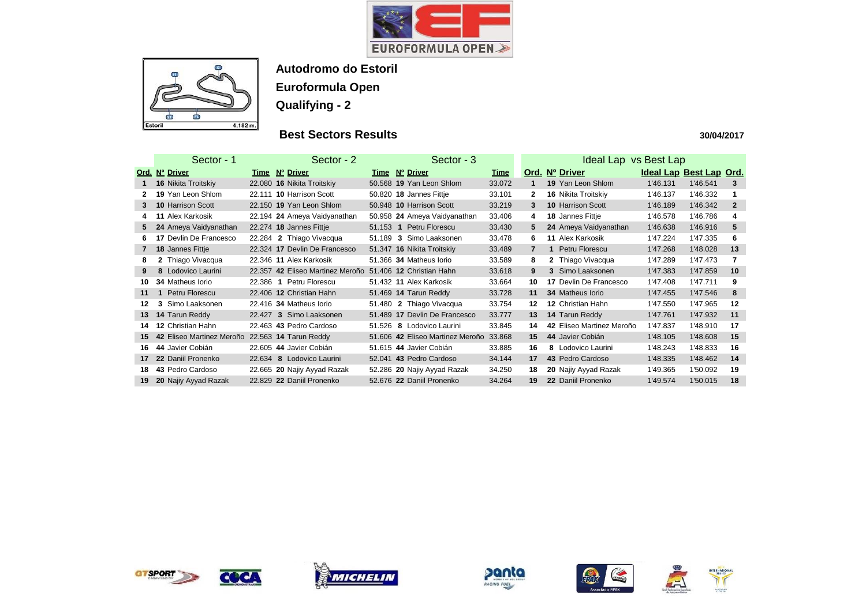



### **Best Sectors Results**

|                 | Sector - 1                                      | Sector - 2                       | Sector - 3                       |             | Ideal Lap vs Best Lap |                               |          |                         |                |
|-----------------|-------------------------------------------------|----------------------------------|----------------------------------|-------------|-----------------------|-------------------------------|----------|-------------------------|----------------|
|                 | Ord. Nº Driver                                  | Time Nº Driver                   | Time Nº Driver                   | <b>Time</b> |                       | Ord. Nº Driver                |          | Ideal Lap Best Lap Ord. |                |
|                 | <b>16 Nikita Troitskiy</b>                      | 22.080 16 Nikita Troitskiy       | 50.568 19 Yan Leon Shlom         | 33.072      |                       | <b>19 Yan Leon Shlom</b>      | 1'46.131 | 1'46.541                | 3              |
|                 | 19 Yan Leon Shlom                               | 22.111 10 Harrison Scott         | 50.820 18 Jannes Fittje          | 33.101      | $\mathbf{2}$          | 16 Nikita Troitskiy           | 1'46.137 | 1'46.332                |                |
| 3               | <b>10 Harrison Scott</b>                        | 22.150 19 Yan Leon Shlom         | 50.948 10 Harrison Scott         | 33.219      | $\mathbf{3}$          | <b>10 Harrison Scott</b>      | 1'46.189 | 1'46.342                | $\overline{2}$ |
| 4               | 11 Alex Karkosik                                | 22.194 24 Ameya Vaidyanathan     | 50.958 24 Ameya Vaidyanathan     | 33.406      | 4                     | 18 Jannes Fittje              | 1'46.578 | 1'46.786                | 4              |
| 5               | 24 Ameya Vaidyanathan                           | 22.274 18 Jannes Fittje          | 51.153 1 Petru Florescu          | 33.430      | 5                     | 24 Ameya Vaidyanathan         | 1'46.638 | 1'46.916                | $5\phantom{1}$ |
| 6.              | <b>17 Devlin De Francesco</b>                   | 22.284 2 Thiago Vivacqua         | 51.189 3 Simo Laaksonen          | 33.478      | 6.                    | <b>11 Alex Karkosik</b>       | 1'47.224 | 1'47.335                | 6              |
| $\mathbf{7}$    | 18 Jannes Fittje                                | 22.324 17 Devlin De Francesco    | 51.347 16 Nikita Troitskiy       | 33.489      | $\overline{7}$        | Petru Florescu                | 1'47.268 | 1'48.028                | 13             |
| 8               | 2 Thiago Vivacqua                               | 22.346 11 Alex Karkosik          | 51.366 34 Matheus Iorio          | 33.589      | 8                     | 2 Thiago Vivacqua             | 1'47.289 | 1'47.473                | 7              |
| 9               | 8 Lodovico Laurini                              | 22.357 42 Eliseo Martinez Meroño | 51.406 <b>12 Christian Hahn</b>  | 33.618      | 9                     | 3 Simo Laaksonen              | 1'47.383 | 1'47.859                | 10             |
| 10              | <b>34 Matheus lorio</b>                         | 22.386 1 Petru Florescu          | 51.432 11 Alex Karkosik          | 33.664      | 10                    | <b>17 Devlin De Francesco</b> | 1'47.408 | 1'47.711                | 9              |
| 11              | Petru Florescu                                  | 22.406 12 Christian Hahn         | 51.469 <b>14 Tarun Reddy</b>     | 33.728      | 11                    | 34 Matheus Iorio              | 1'47.455 | 1'47.546                | 8              |
| $12 \,$         | 3 Simo Laaksonen                                | 22.416 34 Matheus Iorio          | 51.480 2 Thiago Vivacqua         | 33.754      | 12                    | <b>12 Christian Hahn</b>      | 1'47.550 | 1'47.965                | 12             |
| 13              | 14 Tarun Reddy                                  | 22.427 3 Simo Laaksonen          | 51.489 17 Devlin De Francesco    | 33.777      | 13                    | 14 Tarun Reddy                | 1'47.761 | 1'47.932                | 11             |
| 14              | 12 Christian Hahn                               | 22.463 43 Pedro Cardoso          | 51.526 8 Lodovico Laurini        | 33.845      | 14                    | 42 Eliseo Martinez Meroño     | 1'47.837 | 1'48.910                | 17             |
| 15              | 42 Eliseo Martinez Meroño 22.563 14 Tarun Reddy |                                  | 51.606 42 Eliseo Martinez Meroño | 33.868      | 15                    | 44 Javier Cobián              | 1'48.105 | 1'48.608                | 15             |
| 16              | 44 Javier Cobián                                | 22.605 44 Javier Cobián          | 51.615 44 Javier Cobián          | 33.885      | 16                    | 8 Lodovico Laurini            | 1'48.243 | 1'48.833                | 16             |
| 17 <sup>2</sup> | 22 Daniil Pronenko                              | Lodovico Laurini<br>22.634 8     | 52.041 43 Pedro Cardoso          | 34.144      | 17                    | 43 Pedro Cardoso              | 1'48.335 | 1'48.462                | 14             |
| 18              | 43 Pedro Cardoso                                | 22.665 20 Najiy Ayyad Razak      | 52.286 20 Najiy Ayyad Razak      | 34.250      | 18                    | 20 Najiy Ayyad Razak          | 1'49.365 | 1'50.092                | 19             |
| 19              | 20 Najiy Ayyad Razak                            | 22.829 22 Daniil Pronenko        | 52.676 22 Daniil Pronenko        | 34.264      | 19                    | 22 Daniil Pronenko            | 1'49.574 | 1'50.015                | 18             |













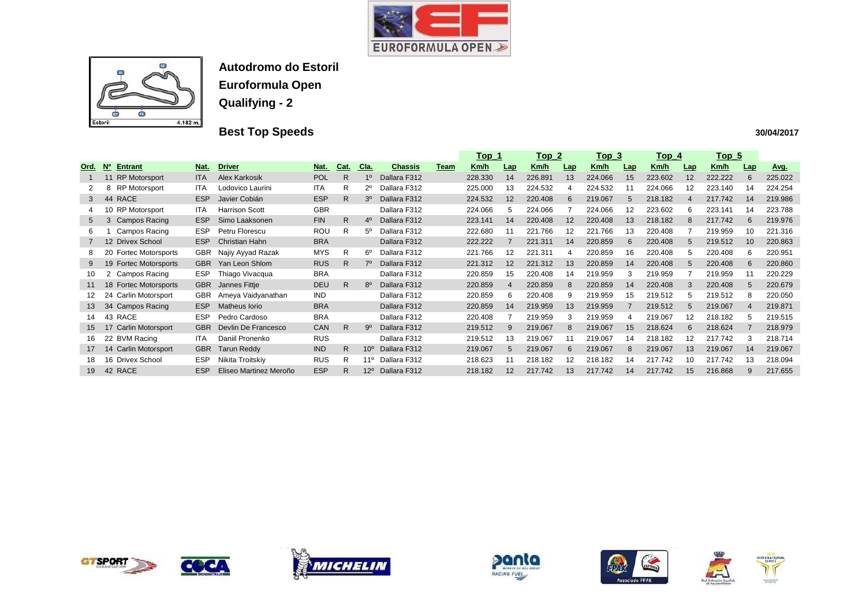



# **Best Top Speeds**

|             |                                               |            |                        |            |              |                 |                |             | <u> Top_1</u><br><u>Top_2</u> |                 |             | <u> Top_3</u> |             | <u>Top_4</u> |             | <u>Top_5</u>    |         |     |         |
|-------------|-----------------------------------------------|------------|------------------------|------------|--------------|-----------------|----------------|-------------|-------------------------------|-----------------|-------------|---------------|-------------|--------------|-------------|-----------------|---------|-----|---------|
| Ord.        | $\overline{\mathsf{N}_{0}}$<br><b>Entrant</b> | Nat.       | <b>Driver</b>          | Nat.       | Cat.         | <u>Cla.</u>     | <b>Chassis</b> | <b>Team</b> | Km/h                          | Lap             | <u>Km/h</u> | Lap           | <u>Km/h</u> | <u>Lap</u>   | <u>Km/h</u> | Lap             | Km/h    | Lap | Avg.    |
|             | <b>RP Motorsport</b><br>11                    | <b>ITA</b> | <b>Alex Karkosik</b>   | <b>POL</b> | R            | $1^{\circ}$     | Dallara F312   |             | 228.330                       | 14              | 226.891     | 13            | 224.066     | 15           | 223.602     | 12              | 222.222 | 6   | 225.022 |
|             | <b>RP Motorsport</b><br>8                     | <b>ITA</b> | Lodovico Laurini       | <b>ITA</b> | R.           | 2°،             | Dallara F312   |             | 225.000                       | 13              | 224.532     |               | 224.532     | 11           | 224.066     | 12              | 223.140 | 14  | 224.254 |
| 3           | <b>RACE</b><br>44                             | <b>ESP</b> | Javier Cobián          | <b>ESP</b> | R.           | 30              | Dallara F312   |             | 224.532                       | 12 <sup>2</sup> | 220.408     | 6             | 219.067     | 5            | 218.182     | $\overline{4}$  | 217.742 | 14  | 219.986 |
| 4           | 10 RP Motorsport                              | <b>ITA</b> | <b>Harrison Scott</b>  | <b>GBR</b> |              |                 | Dallara F312   |             | 224.066                       | 5               | 224.066     |               | 224.066     | 12           | 223.602     | 6               | 223.141 | 14  | 223.788 |
| $5^{\circ}$ | <b>Campos Racing</b><br>3                     | <b>ESP</b> | Simo Laaksonen         | <b>FIN</b> | $\mathsf{R}$ | $4^{\circ}$     | Dallara F312   |             | 223.141                       | 14              | 220.408     | 12            | 220.408     | 13           | 218.182     | <sup>8</sup>    | 217.742 | 6   | 219.976 |
| 6           | Campos Racing                                 | <b>ESP</b> | Petru Florescu         | <b>ROU</b> | R.           | 5º              | Dallara F312   |             | 222.680                       |                 | 221.766     | 12            | 221.766     | 13           | 220.408     |                 | 219.959 | 10  | 221.316 |
| 7           | 12 Drivex School                              | ESP        | Christian Hahn         | <b>BRA</b> |              |                 | Dallara F312   |             | 222.222                       |                 | 221.311     | 14            | 220.859     | 6            | 220.408     | 5               | 219.512 | 10  | 220.863 |
| 8           | <b>Fortec Motorsports</b><br>20               | <b>GBR</b> | Najiy Ayyad Razak      | <b>MYS</b> | R.           | $6^{\circ}$     | Dallara F312   |             | 221.766                       | 12              | 221.311     |               | 220.859     | 16           | 220.408     | $\mathbf{b}$    | 220.408 | 6   | 220.951 |
| 9           | <b>Fortec Motorsports</b><br>19               | <b>GBR</b> | Yan Leon Shlom         | <b>RUS</b> | R.           | 7º              | Dallara F312   |             | 221.312                       | 12 <sup>2</sup> | 221.312     | 13            | 220.859     | 14           | 220.408     | $5\overline{5}$ | 220.408 | 6   | 220.860 |
| 10          | <b>Campos Racing</b><br>2                     | ESP        | Thiago Vivacqua        | <b>BRA</b> |              |                 | Dallara F312   |             | 220.859                       | 15              | 220.408     | 14            | 219.959     | 3            | 219.959     |                 | 219.959 | 11  | 220.229 |
| 11          | <b>Fortec Motorsports</b><br>18               | <b>GBR</b> | Jannes Fittje          | <b>DEU</b> | R.           | 80              | Dallara F312   |             | 220.859                       |                 | 220.859     |               | 220.859     | 14           | 220.408     |                 | 220.408 | 5   | 220.679 |
| 12          | 24<br><b>Carlin Motorsport</b>                | <b>GBR</b> | Ameya Vaidyanathan     | <b>IND</b> |              |                 | Dallara F312   |             | 220.859                       | 6               | 220.408     | 9             | 219.959     | 15           | 219.512     | 5               | 219.512 | 8   | 220.050 |
| 13          | <b>Campos Racing</b><br>34                    | <b>ESP</b> | Matheus Iorio          | <b>BRA</b> |              |                 | Dallara F312   |             | 220.859                       | 14              | 219.959     | 13            | 219.959     |              | 219.512     | 5               | 219.067 | 4   | 219.871 |
| 14          | 43 RACE                                       | <b>ESP</b> | Pedro Cardoso          | <b>BRA</b> |              |                 | Dallara F312   |             | 220.408                       |                 | 219.959     |               | 219.959     |              | 219.067     | 12              | 218.182 | 5   | 219.515 |
| 15          | Carlin Motorsport<br>1/                       | <b>GBR</b> | Devlin De Francesco    | <b>CAN</b> | R            | 9º              | Dallara F312   |             | 219.512                       |                 | 219.067     |               | 219.067     | 15           | 218.624     | 6               | 218.624 |     | 218.979 |
| 16          | 22 BVM Racing                                 | <b>ITA</b> | Daniil Pronenko        | <b>RUS</b> |              |                 | Dallara F312   |             | 219.512                       | 13              | 219.067     |               | 219.067     | 14           | 218.182     | 12              | 217.742 | 3   | 218.714 |
| 17          | <b>Carlin Motorsport</b><br>14                | <b>GBR</b> | <b>Tarun Reddy</b>     | <b>IND</b> | R.           | $10^{\circ}$    | Dallara F312   |             | 219.067                       | 5               | 219.067     | 6.            | 219.067     | 8            | 219.067     | 13              | 219.067 | 14  | 219.067 |
| 18          | 16 Drivex School                              | <b>ESP</b> | Nikita Troitskiy       | <b>RUS</b> | R            | 11 <sup>o</sup> | Dallara F312   |             | 218.623                       |                 | 218.182     | 12            | 218.182     | 14           | 217.742     | 10              | 217.742 | 13  | 218.094 |
| 19          | 42 RACE                                       | <b>ESP</b> | Eliseo Martinez Meroño | <b>ESP</b> | R            | $12^{\circ}$    | Dallara F312   |             | 218.182                       | 12              | 217.742     | 13            | 217.742     | 14           | 217.742     | 15              | 216.868 | 9   | 217.655 |













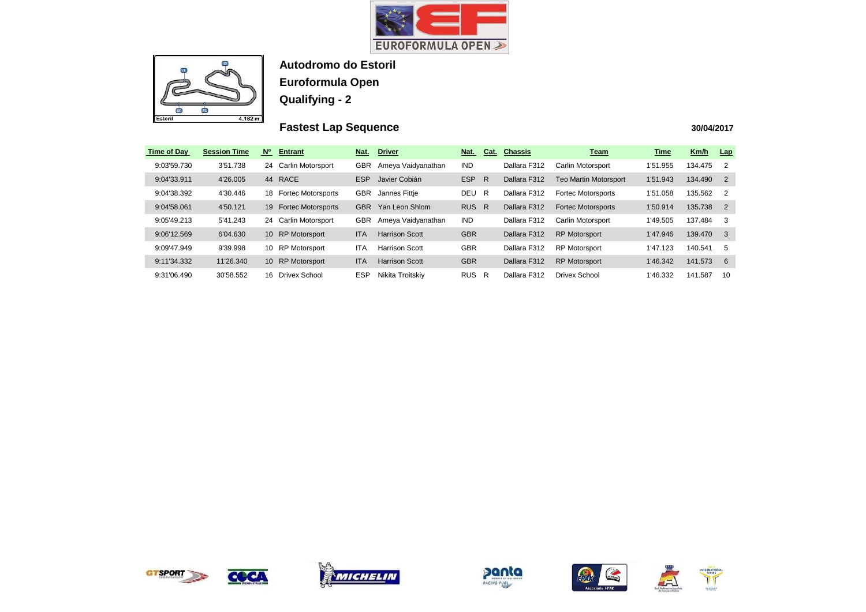



## **Fastest Lap Sequence**

| <b>Time of Day</b> | <b>Session Time</b> | N <sub>o</sub>  | <b>Entrant</b>            | Nat.       | <b>Driver</b>         | Nat.       | Cat. | <b>Chassis</b> | <b>Team</b>                  | <b>Time</b> | Km/h    | <u>Lap</u>              |
|--------------------|---------------------|-----------------|---------------------------|------------|-----------------------|------------|------|----------------|------------------------------|-------------|---------|-------------------------|
| 9:03'59.730        | 3'51.738            | 24              | <b>Carlin Motorsport</b>  | <b>GBR</b> | Ameya Vaidyanathan    | <b>IND</b> |      | Dallara F312   | Carlin Motorsport            | 1'51.955    | 134.475 | $\overline{2}$          |
| 9:04'33.911        | 4'26.005            | 44              | <b>RACE</b>               | ESP        | Javier Cobián         | <b>ESP</b> | R    | Dallara F312   | <b>Teo Martin Motorsport</b> | 1'51.943    | 134.490 | $\overline{2}$          |
| 9:04'38.392        | 4'30.446            | 18              | <b>Fortec Motorsports</b> | GBR        | Jannes Fittje         | DEU        | R    | Dallara F312   | <b>Fortec Motorsports</b>    | 1'51.058    | 135.562 | $\overline{\mathbf{2}}$ |
| 9:04'58.061        | 4'50.121            | 19              | <b>Fortec Motorsports</b> | <b>GBR</b> | Yan Leon Shlom        | <b>RUS</b> | R    | Dallara F312   | <b>Fortec Motorsports</b>    | 1'50.914    | 135.738 | $\overline{2}$          |
| 9:05'49.213        | 5'41.243            | 24              | <b>Carlin Motorsport</b>  | <b>GBR</b> | Ameya Vaidyanathan    | <b>IND</b> |      | Dallara F312   | Carlin Motorsport            | 1'49.505    | 137.484 | - 3                     |
| 9:06'12.569        | 6'04.630            | 10 <sup>1</sup> | <b>RP Motorsport</b>      | <b>ITA</b> | <b>Harrison Scott</b> | <b>GBR</b> |      | Dallara F312   | <b>RP Motorsport</b>         | 1'47.946    | 139.470 | $\overline{\mathbf{3}}$ |
| 9:09'47.949        | 9'39.998            | 10              | <b>RP Motorsport</b>      | ITA        | <b>Harrison Scott</b> | <b>GBR</b> |      | Dallara F312   | <b>RP Motorsport</b>         | 1'47.123    | 140.541 | -5                      |
| 9:11'34.332        | 11'26.340           | 10 <sup>1</sup> | <b>RP Motorsport</b>      | <b>ITA</b> | <b>Harrison Scott</b> | <b>GBR</b> |      | Dallara F312   | <b>RP Motorsport</b>         | 1'46.342    | 141.573 | -6                      |
| 9:31'06.490        | 30'58.552           | 16.             | Drivex School             | ESP        | Nikita Troitskiy      | <b>RUS</b> | -R   | Dallara F312   | Drivex School                | 1'46.332    | 141.587 | 10                      |











| <b>Time</b> | Km/h    | Lap            |
|-------------|---------|----------------|
| 1'51.955    | 134.475 | 2              |
| 1'51.943    | 134.490 | $\overline{2}$ |
| 1'51.058    | 135.562 | 2              |
| 1'50.914    | 135.738 | $\overline{2}$ |
| 1'49.505    | 137.484 | 3              |
| 1'47.946    | 139.470 | 3              |
| 1'47.123    | 140.541 | 5              |
| 1'46.342    | 141.573 | 6              |
| 1'46.332    | 141.587 | 10             |